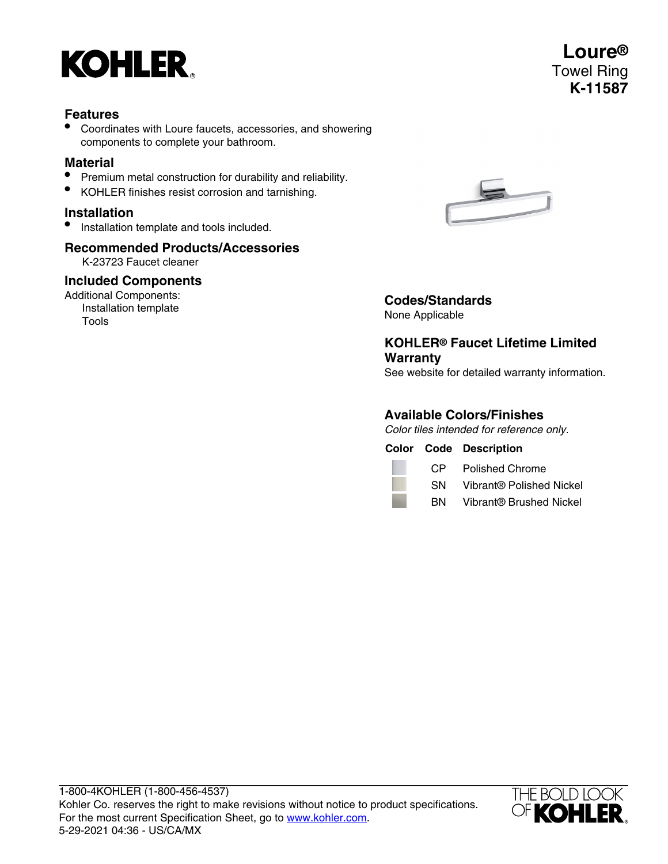

### **Features**

• Coordinates with Loure faucets, accessories, and showering components to complete your bathroom.

### **Material**

- Premium metal construction for durability and reliability.
- KOHLER finishes resist corrosion and tarnishing.

### **Installation**

• Installation template and tools included.

## **Recommended Products/Accessories**

K-23723 Faucet cleaner

### **Included Components**

Additional Components: Installation template Tools



# **Codes/Standards**

None Applicable

### **KOHLER® Faucet Lifetime Limited Warranty**

See website for detailed warranty information.

### **Available Colors/Finishes**

Color tiles intended for reference only.

**Color Code Description**

CP Polished Chrome

SN Vibrant® Polished Nickel

BN Vibrant® Brushed Nickel